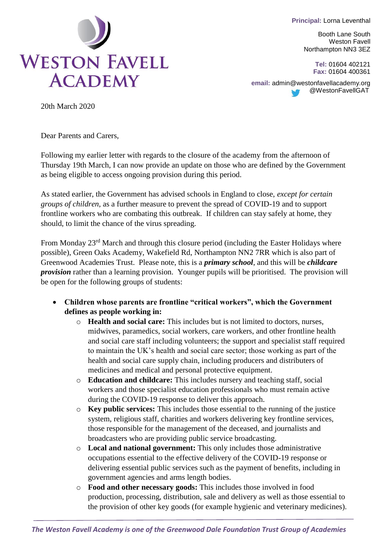**Principal:** Lorna Leventhal



Booth Lane South Weston Favell Northampton NN3 3EZ

> **Tel:** 01604 402121 **Fax:** 01604 400361

**email:** [admin@westonfavellacademy.org](mailto:admin@westonfavellacademy.org) @WestonFavellGAT

20th March 2020

Dear Parents and Carers,

Following my earlier letter with regards to the closure of the academy from the afternoon of Thursday 19th March, I can now provide an update on those who are defined by the Government as being eligible to access ongoing provision during this period.

As stated earlier, the Government has advised schools in England to close, *except for certain groups of children*, as a further measure to prevent the spread of COVID-19 and to support frontline workers who are combating this outbreak. If children can stay safely at home, they should, to limit the chance of the virus spreading.

From Monday 23<sup>rd</sup> March and through this closure period (including the Easter Holidays where possible), Green Oaks Academy, Wakefield Rd, Northampton NN2 7RR which is also part of Greenwood Academies Trust. Please note, this is a *primary school*, and this will be *childcare provision* rather than a learning provision. Younger pupils will be prioritised. The provision will be open for the following groups of students:

- **Children whose parents are frontline "critical workers", which the Government defines as people working in:**
	- o **Health and social care:** This includes but is not limited to doctors, nurses, midwives, paramedics, social workers, care workers, and other frontline health and social care staff including volunteers; the support and specialist staff required to maintain the UK's health and social care sector; those working as part of the health and social care supply chain, including producers and distributers of medicines and medical and personal protective equipment.
	- o **Education and childcare:** This includes nursery and teaching staff, social workers and those specialist education professionals who must remain active during the COVID-19 response to deliver this approach.
	- o **Key public services:** This includes those essential to the running of the justice system, religious staff, charities and workers delivering key frontline services, those responsible for the management of the deceased, and journalists and broadcasters who are providing public service broadcasting.
	- o **Local and national government:** This only includes those administrative occupations essential to the effective delivery of the COVID-19 response or delivering essential public services such as the payment of benefits, including in government agencies and arms length bodies.
	- o **Food and other necessary goods:** This includes those involved in food production, processing, distribution, sale and delivery as well as those essential to the provision of other key goods (for example hygienic and veterinary medicines).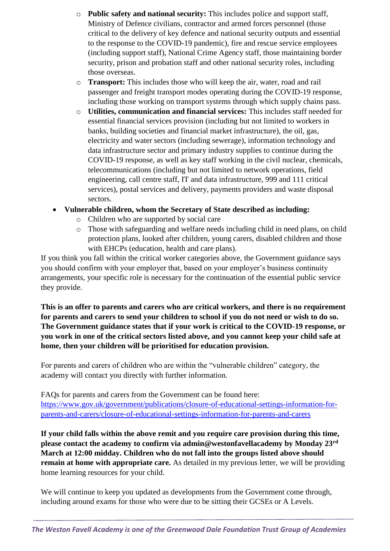- o **Public safety and national security:** This includes police and support staff, Ministry of Defence civilians, contractor and armed forces personnel (those critical to the delivery of key defence and national security outputs and essential to the response to the COVID-19 pandemic), fire and rescue service employees (including support staff), National Crime Agency staff, those maintaining border security, prison and probation staff and other national security roles, including those overseas.
- o **Transport:** This includes those who will keep the air, water, road and rail passenger and freight transport modes operating during the COVID-19 response, including those working on transport systems through which supply chains pass.
- o **Utilities, communication and financial services:** This includes staff needed for essential financial services provision (including but not limited to workers in banks, building societies and financial market infrastructure), the oil, gas, electricity and water sectors (including sewerage), information technology and data infrastructure sector and primary industry supplies to continue during the COVID-19 response, as well as key staff working in the civil nuclear, chemicals, telecommunications (including but not limited to network operations, field engineering, call centre staff, IT and data infrastructure, 999 and 111 critical services), postal services and delivery, payments providers and waste disposal sectors.
- **Vulnerable children, whom the Secretary of State described as including:**
	- o Children who are supported by social care
	- o Those with safeguarding and welfare needs including child in need plans, on child protection plans, looked after children, young carers, disabled children and those with EHCPs (education, health and care plans).

If you think you fall within the critical worker categories above, the Government guidance says you should confirm with your employer that, based on your employer's business continuity arrangements, your specific role is necessary for the continuation of the essential public service they provide.

**This is an offer to parents and carers who are critical workers, and there is no requirement for parents and carers to send your children to school if you do not need or wish to do so. The Government guidance states that if your work is critical to the COVID-19 response, or you work in one of the critical sectors listed above, and you cannot keep your child safe at home, then your children will be prioritised for education provision.**

For parents and carers of children who are within the "vulnerable children" category, the academy will contact you directly with further information.

FAQs for parents and carers from the Government can be found here: [https://www.gov.uk/government/publications/closure-of-educational-settings-information-for](https://www.gov.uk/government/publications/closure-of-educational-settings-information-for-parents-and-carers/closure-of-educational-settings-information-for-parents-and-carers)[parents-and-carers/closure-of-educational-settings-information-for-parents-and-carers](https://www.gov.uk/government/publications/closure-of-educational-settings-information-for-parents-and-carers/closure-of-educational-settings-information-for-parents-and-carers)

**If your child falls within the above remit and you require care provision during this time, please contact the academy to confirm via admin@westonfavellacademy by Monday 23rd March at 12:00 midday. Children who do not fall into the groups listed above should remain at home with appropriate care.** As detailed in my previous letter, we will be providing home learning resources for your child.

We will continue to keep you updated as developments from the Government come through, including around exams for those who were due to be sitting their GCSEs or A Levels.